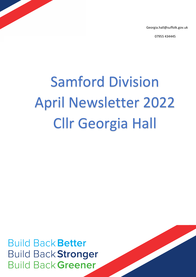Georgia.hall@suffolk.gov.uk

07955 434445

# Samford Division April Newsletter 2022 Cllr Georgia Hall

**Build Back Better Build Back Stronger Build Back Greener**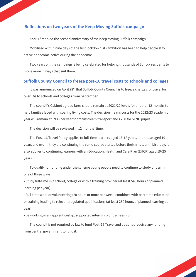## **Reflections on two years of the Keep Moving Suffolk campaign**

April 1<sup>st</sup> marked the second anniversary of the Keep Moving Suffolk campaign.

Mobilised within nine days of the first lockdown, its ambition has been to help people stay active or become active during the pandemic.

Two years on, the campaign is being celebrated for helping thousands of Suffolk residents to move more in ways that suit them.

#### **Suffolk County Council to freeze post-16 travel costs to schools and colleges**

It was announced on April 28<sup>th</sup> that Suffolk County Council is to freeze charges for travel for over 16s to schools and colleges from September.

The council's Cabinet agreed fares should remain at 2021/22 levels for another 12 months to help families faced with soaring living costs. The decision means costs for the 2022/23 academic year will remain at £930 per year for mainstream transport and £750 for SEND pupils.

The decision will be reviewed in 12 months' time.

The Post-16 Travel Policy applies to full-time learners aged 16-18 years, and those aged 19 years and over if they are continuing the same course started before their nineteenth birthday. It also applies to continuing learners with an Education, Health and Care Plan (EHCP) aged 19-25 years.

To qualify for funding under the scheme young people need to continue to study or train in one of three ways:

• Study full-time in a school, college or with a training provider (at least 540 hours of planned learning per year)

• Full-time work or volunteering (20 hours or more per week) combined with part-time education or training leading to relevant regulated qualifications (at least 280 hours of planned learning per year)

• Be working in an apprenticeship, supported internship or traineeship

The council is not required by law to fund Post-16 Travel and does not receive any funding from central government to fund it.